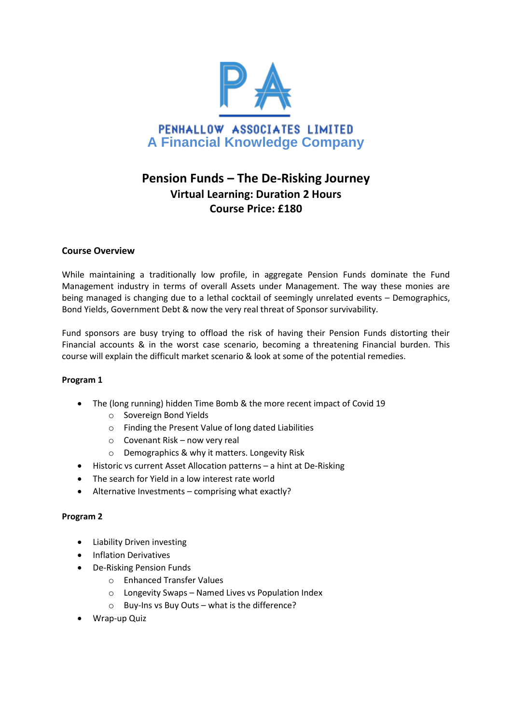

# **Pension Funds – The De-Risking Journey Virtual Learning: Duration 2 Hours Course Price: £180**

## **Course Overview**

While maintaining a traditionally low profile, in aggregate Pension Funds dominate the Fund Management industry in terms of overall Assets under Management. The way these monies are being managed is changing due to a lethal cocktail of seemingly unrelated events – Demographics, Bond Yields, Government Debt & now the very real threat of Sponsor survivability.

Fund sponsors are busy trying to offload the risk of having their Pension Funds distorting their Financial accounts & in the worst case scenario, becoming a threatening Financial burden. This course will explain the difficult market scenario & look at some of the potential remedies.

## **Program 1**

- The (long running) hidden Time Bomb & the more recent impact of Covid 19
	- o Sovereign Bond Yields
	- o Finding the Present Value of long dated Liabilities
	- o Covenant Risk now very real
	- o Demographics & why it matters. Longevity Risk
- Historic vs current Asset Allocation patterns a hint at De-Risking
- The search for Yield in a low interest rate world
- Alternative Investments comprising what exactly?

## **Program 2**

- Liability Driven investing
- **•** Inflation Derivatives
- De-Risking Pension Funds
	- o Enhanced Transfer Values
	- o Longevity Swaps Named Lives vs Population Index
	- o Buy-Ins vs Buy Outs what is the difference?
- Wrap-up Quiz